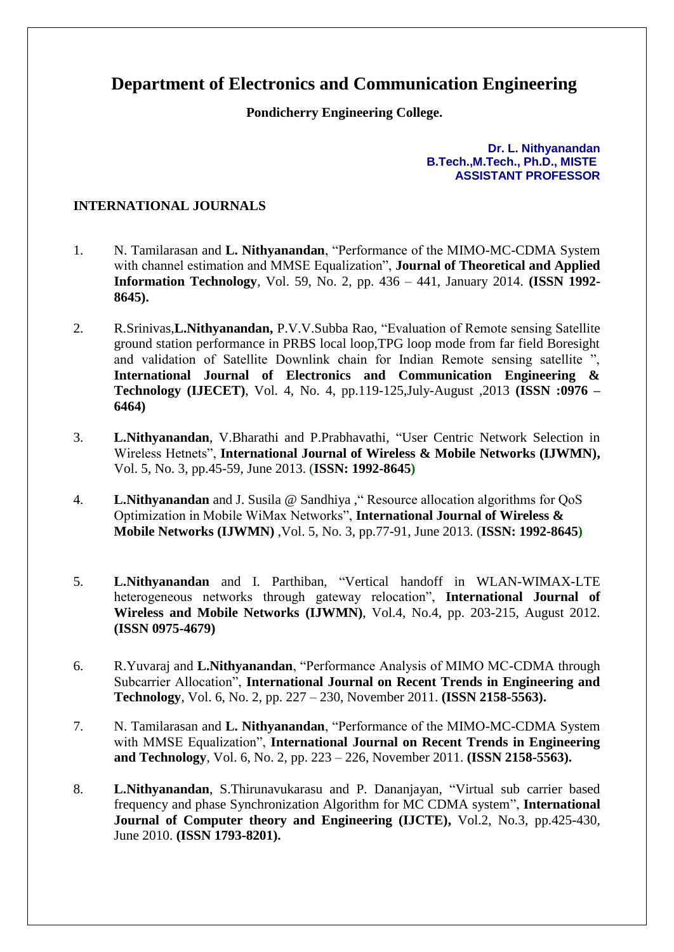## **Department of Electronics and Communication Engineering**

**Pondicherry Engineering College.**

**Dr. L. Nithyanandan B.Tech.,M.Tech., Ph.D., MISTE ASSISTANT PROFESSOR**

## **INTERNATIONAL JOURNALS**

- 1. N. Tamilarasan and **L. Nithyanandan**, "Performance of the MIMO-MC-CDMA System with channel estimation and MMSE Equalization", **Journal of Theoretical and Applied Information Technology**, Vol. 59, No. 2, pp. 436 – 441, January 2014. **(ISSN 1992- 8645).**
- 2. R.Srinivas,**L.Nithyanandan,** P.V.V.Subba Rao, "Evaluation of Remote sensing Satellite ground station performance in PRBS local loop,TPG loop mode from far field Boresight and validation of Satellite Downlink chain for Indian Remote sensing satellite ", **International Journal of Electronics and Communication Engineering & Technology (IJECET)**, Vol. 4, No. 4, pp.119-125,July-August ,2013 **(ISSN :0976 – 6464)**
- 3. **L.Nithyanandan**, V.Bharathi and P.Prabhavathi, "User Centric Network Selection in Wireless Hetnets", **International Journal of Wireless & Mobile Networks (IJWMN),** Vol. 5, No. 3, pp.45-59, June 2013. (**ISSN: 1992-8645)**
- 4. **L.Nithyanandan** and J. Susila @ Sandhiya ," Resource allocation algorithms for QoS Optimization in Mobile WiMax Networks", **International Journal of Wireless & Mobile Networks (IJWMN)** ,Vol. 5, No. 3, pp.77-91, June 2013. (**ISSN: 1992-8645)**
- 5. **L.Nithyanandan** and I. Parthiban, "Vertical handoff in WLAN-WIMAX-LTE heterogeneous networks through gateway relocation", **International Journal of Wireless and Mobile Networks (IJWMN)**, Vol.4, No.4, pp. 203-215, August 2012. **(ISSN 0975-4679)**
- 6. R.Yuvaraj and **L.Nithyanandan**, "Performance Analysis of MIMO MC-CDMA through Subcarrier Allocation", **International Journal on Recent Trends in Engineering and Technology**, Vol. 6, No. 2, pp. 227 – 230, November 2011. **(ISSN 2158-5563).**
- 7. N. Tamilarasan and **L. Nithyanandan**, "Performance of the MIMO-MC-CDMA System with MMSE Equalization", **International Journal on Recent Trends in Engineering and Technology**, Vol. 6, No. 2, pp. 223 – 226, November 2011. **(ISSN 2158-5563).**
- 8. **L.Nithyanandan**, S.Thirunavukarasu and P. Dananjayan, "Virtual sub carrier based frequency and phase Synchronization Algorithm for MC CDMA system", **International Journal of Computer theory and Engineering (IJCTE),** Vol.2, No.3, pp.425-430, June 2010. **(ISSN 1793-8201).**